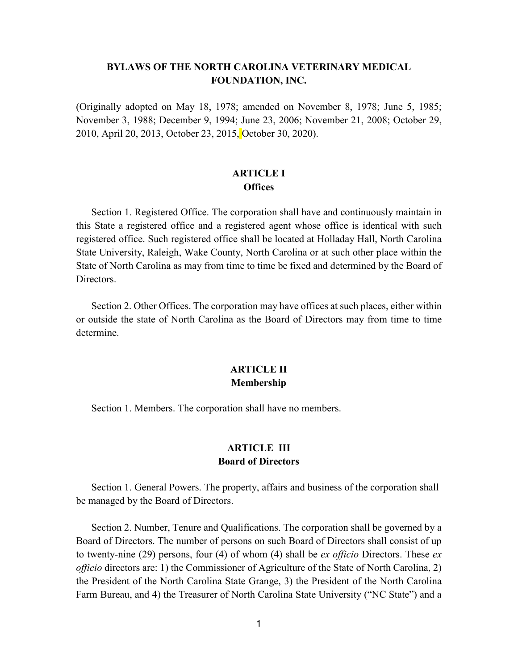## **BYLAWS OF THE NORTH CAROLINA VETERINARY MEDICAL FOUNDATION, INC.**

(Originally adopted on May 18, 1978; amended on November 8, 1978; June 5, 1985; November 3, 1988; December 9, 1994; June 23, 2006; November 21, 2008; October 29, 2010, April 20, 2013, October 23, 2015, October 30, 2020).

## **ARTICLE I Offices**

Section 1. Registered Office. The corporation shall have and continuously maintain in this State a registered office and a registered agent whose office is identical with such registered office. Such registered office shall be located at Holladay Hall, North Carolina State University, Raleigh, Wake County, North Carolina or at such other place within the State of North Carolina as may from time to time be fixed and determined by the Board of Directors.

Section 2. Other Offices. The corporation may have offices at such places, either within or outside the state of North Carolina as the Board of Directors may from time to time determine.

# **ARTICLE II Membership**

Section 1. Members. The corporation shall have no members.

# **ARTICLE III Board of Directors**

Section 1. General Powers. The property, affairs and business of the corporation shall be managed by the Board of Directors.

Section 2. Number, Tenure and Qualifications. The corporation shall be governed by a Board of Directors. The number of persons on such Board of Directors shall consist of up to twenty-nine (29) persons, four (4) of whom (4) shall be *ex officio* Directors. These *ex officio* directors are: 1) the Commissioner of Agriculture of the State of North Carolina, 2) the President of the North Carolina State Grange, 3) the President of the North Carolina Farm Bureau, and 4) the Treasurer of North Carolina State University ("NC State") and a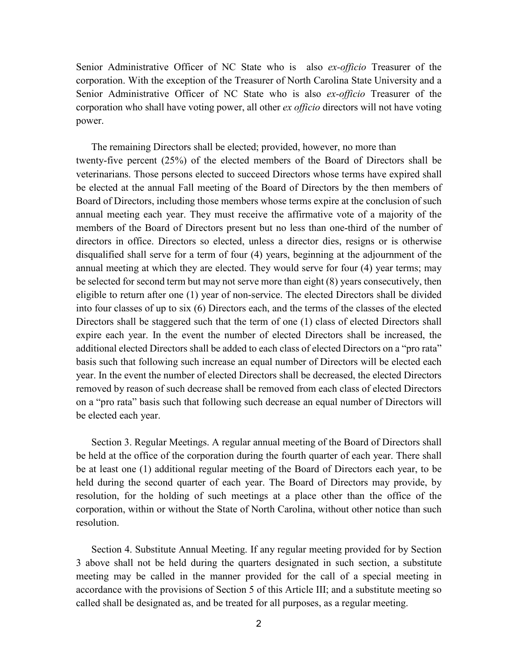Senior Administrative Officer of NC State who is also *ex-officio* Treasurer of the corporation. With the exception of the Treasurer of North Carolina State University and a Senior Administrative Officer of NC State who is also *ex-officio* Treasurer of the corporation who shall have voting power, all other *ex officio* directors will not have voting power.

The remaining Directors shall be elected; provided, however, no more than twenty-five percent (25%) of the elected members of the Board of Directors shall be veterinarians. Those persons elected to succeed Directors whose terms have expired shall be elected at the annual Fall meeting of the Board of Directors by the then members of Board of Directors, including those members whose terms expire at the conclusion of such annual meeting each year. They must receive the affirmative vote of a majority of the members of the Board of Directors present but no less than one-third of the number of directors in office. Directors so elected, unless a director dies, resigns or is otherwise disqualified shall serve for a term of four (4) years, beginning at the adjournment of the annual meeting at which they are elected. They would serve for four (4) year terms; may be selected for second term but may not serve more than eight (8) years consecutively, then eligible to return after one (1) year of non-service. The elected Directors shall be divided into four classes of up to six (6) Directors each, and the terms of the classes of the elected Directors shall be staggered such that the term of one (1) class of elected Directors shall expire each year. In the event the number of elected Directors shall be increased, the additional elected Directors shall be added to each class of elected Directors on a "pro rata" basis such that following such increase an equal number of Directors will be elected each year. In the event the number of elected Directors shall be decreased, the elected Directors removed by reason of such decrease shall be removed from each class of elected Directors on a "pro rata" basis such that following such decrease an equal number of Directors will be elected each year.

Section 3. Regular Meetings. A regular annual meeting of the Board of Directors shall be held at the office of the corporation during the fourth quarter of each year. There shall be at least one (1) additional regular meeting of the Board of Directors each year, to be held during the second quarter of each year. The Board of Directors may provide, by resolution, for the holding of such meetings at a place other than the office of the corporation, within or without the State of North Carolina, without other notice than such resolution.

Section 4. Substitute Annual Meeting. If any regular meeting provided for by Section 3 above shall not be held during the quarters designated in such section, a substitute meeting may be called in the manner provided for the call of a special meeting in accordance with the provisions of Section 5 of this Article III; and a substitute meeting so called shall be designated as, and be treated for all purposes, as a regular meeting.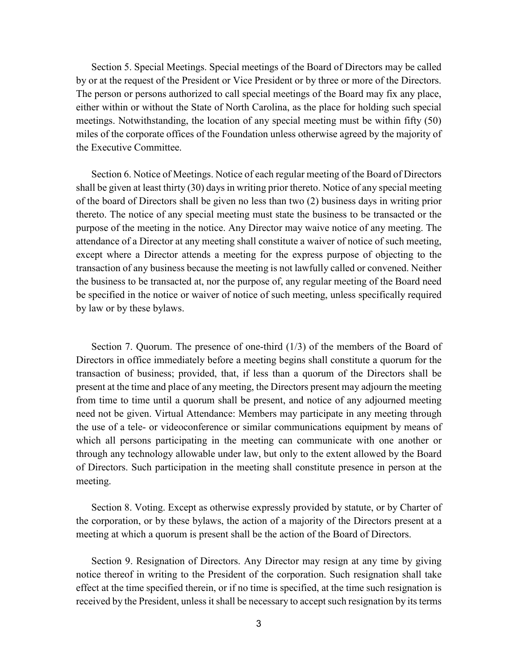Section 5. Special Meetings. Special meetings of the Board of Directors may be called by or at the request of the President or Vice President or by three or more of the Directors. The person or persons authorized to call special meetings of the Board may fix any place, either within or without the State of North Carolina, as the place for holding such special meetings. Notwithstanding, the location of any special meeting must be within fifty (50) miles of the corporate offices of the Foundation unless otherwise agreed by the majority of the Executive Committee.

Section 6. Notice of Meetings. Notice of each regular meeting of the Board of Directors shall be given at least thirty (30) days in writing prior thereto. Notice of any special meeting of the board of Directors shall be given no less than two (2) business days in writing prior thereto. The notice of any special meeting must state the business to be transacted or the purpose of the meeting in the notice. Any Director may waive notice of any meeting. The attendance of a Director at any meeting shall constitute a waiver of notice of such meeting, except where a Director attends a meeting for the express purpose of objecting to the transaction of any business because the meeting is not lawfully called or convened. Neither the business to be transacted at, nor the purpose of, any regular meeting of the Board need be specified in the notice or waiver of notice of such meeting, unless specifically required by law or by these bylaws.

Section 7. Quorum. The presence of one-third (1/3) of the members of the Board of Directors in office immediately before a meeting begins shall constitute a quorum for the transaction of business; provided, that, if less than a quorum of the Directors shall be present at the time and place of any meeting, the Directors present may adjourn the meeting from time to time until a quorum shall be present, and notice of any adjourned meeting need not be given. Virtual Attendance: Members may participate in any meeting through the use of a tele- or videoconference or similar communications equipment by means of which all persons participating in the meeting can communicate with one another or through any technology allowable under law, but only to the extent allowed by the Board of Directors. Such participation in the meeting shall constitute presence in person at the meeting.

Section 8. Voting. Except as otherwise expressly provided by statute, or by Charter of the corporation, or by these bylaws, the action of a majority of the Directors present at a meeting at which a quorum is present shall be the action of the Board of Directors.

Section 9. Resignation of Directors. Any Director may resign at any time by giving notice thereof in writing to the President of the corporation. Such resignation shall take effect at the time specified therein, or if no time is specified, at the time such resignation is received by the President, unless it shall be necessary to accept such resignation by its terms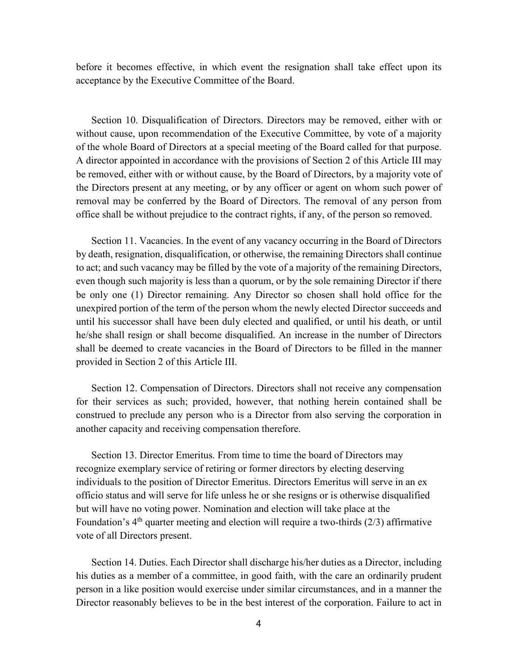before it becomes effective, in which event the resignation shall take effect upon its acceptance by the Executive Committee of the Board.

Section 10. Disqualification of Directors. Directors may be removed, either with or without cause, upon recommendation of the Executive Committee, by vote of a majority of the whole Board of Directors at a special meeting of the Board called for that purpose. A director appointed in accordance with the provisions of Section 2 of this Article III may be removed, either with or without cause, by the Board of Directors, by a majority vote of the Directors present at any meeting, or by any officer or agent on whom such power of removal may be conferred by the Board of Directors. The removal of any person from office shall be without prejudice to the contract rights, if any, of the person so removed.

Section 11. Vacancies. In the event of any vacancy occurring in the Board of Directors by death, resignation, disqualification, or otherwise, the remaining Directors shall continue to act; and such vacancy may be filled by the vote of a majority of the remaining Directors, even though such majority is less than a quorum, or by the sole remaining Director if there be only one (1) Director remaining. Any Director so chosen shall hold office for the unexpired portion of the term of the person whom the newly elected Director succeeds and until his successor shall have been duly elected and qualified, or until his death, or until he/she shall resign or shall become disqualified. An increase in the number of Directors shall be deemed to create vacancies in the Board of Directors to be filled in the manner provided in Section 2 of this Article III.

Section 12. Compensation of Directors. Directors shall not receive any compensation for their services as such; provided, however, that nothing herein contained shall be construed to preclude any person who is a Director from also serving the corporation in another capacity and receiving compensation therefore.

Section 13. Director Emeritus. From time to time the board of Directors may recognize exemplary service of retiring or former directors by electing deserving individuals to the position of Director Emeritus. Directors Emeritus will serve in an ex officio status and will serve for life unless he or she resigns or is otherwise disqualified but will have no voting power. Nomination and election will take place at the Foundation's  $4<sup>th</sup>$  quarter meeting and election will require a two-thirds (2/3) affirmative vote of all Directors present.

Section 14. Duties. Each Director shall discharge his/her duties as a Director, including his duties as a member of a committee, in good faith, with the care an ordinarily prudent person in a like position would exercise under similar circumstances, and in a manner the Director reasonably believes to be in the best interest of the corporation. Failure to act in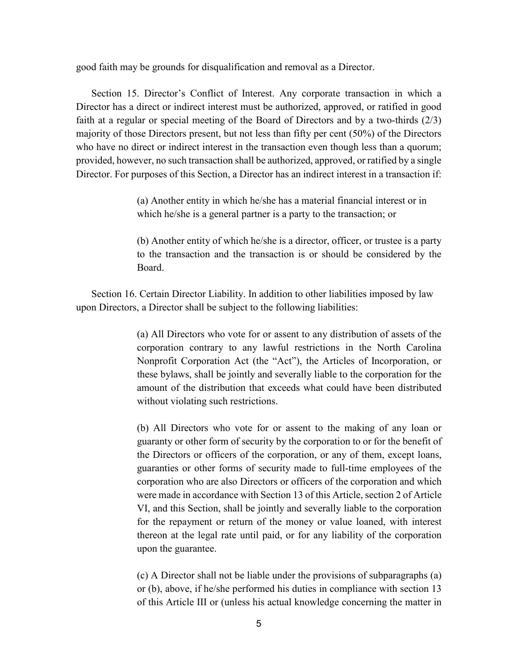good faith may be grounds for disqualification and removal as a Director.

Section 15. Director's Conflict of Interest. Any corporate transaction in which a Director has a direct or indirect interest must be authorized, approved, or ratified in good faith at a regular or special meeting of the Board of Directors and by a two-thirds (2/3) majority of those Directors present, but not less than fifty per cent (50%) of the Directors who have no direct or indirect interest in the transaction even though less than a quorum; provided, however, no such transaction shall be authorized, approved, or ratified by a single Director. For purposes of this Section, a Director has an indirect interest in a transaction if:

> (a) Another entity in which he/she has a material financial interest or in which he/she is a general partner is a party to the transaction; or

(b) Another entity of which he/she is a director, officer, or trustee is a party to the transaction and the transaction is or should be considered by the Board.

Section 16. Certain Director Liability. In addition to other liabilities imposed by law upon Directors, a Director shall be subject to the following liabilities:

> (a) All Directors who vote for or assent to any distribution of assets of the corporation contrary to any lawful restrictions in the North Carolina Nonprofit Corporation Act (the "Act"), the Articles of Incorporation, or these bylaws, shall be jointly and severally liable to the corporation for the amount of the distribution that exceeds what could have been distributed without violating such restrictions.

> (b) All Directors who vote for or assent to the making of any loan or guaranty or other form of security by the corporation to or for the benefit of the Directors or officers of the corporation, or any of them, except loans, guaranties or other forms of security made to full-time employees of the corporation who are also Directors or officers of the corporation and which were made in accordance with Section 13 of this Article, section 2 of Article VI, and this Section, shall be jointly and severally liable to the corporation for the repayment or return of the money or value loaned, with interest thereon at the legal rate until paid, or for any liability of the corporation upon the guarantee.

> (c) A Director shall not be liable under the provisions of subparagraphs (a) or (b), above, if he/she performed his duties in compliance with section 13 of this Article III or (unless his actual knowledge concerning the matter in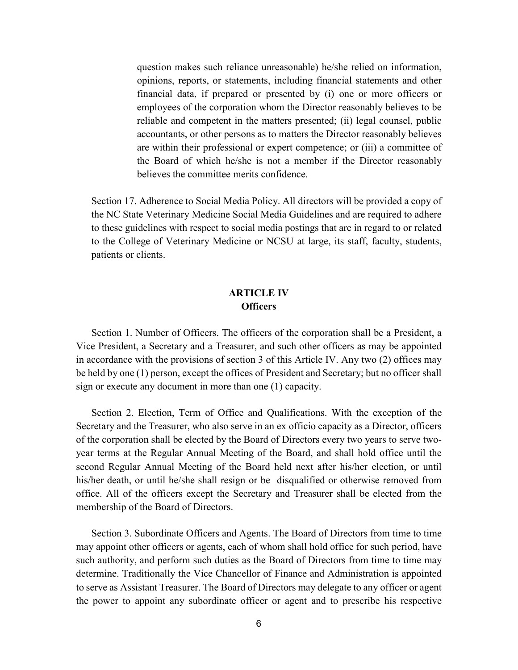question makes such reliance unreasonable) he/she relied on information, opinions, reports, or statements, including financial statements and other financial data, if prepared or presented by (i) one or more officers or employees of the corporation whom the Director reasonably believes to be reliable and competent in the matters presented; (ii) legal counsel, public accountants, or other persons as to matters the Director reasonably believes are within their professional or expert competence; or (iii) a committee of the Board of which he/she is not a member if the Director reasonably believes the committee merits confidence.

Section 17. Adherence to Social Media Policy. All directors will be provided a copy of the NC State Veterinary Medicine Social Media Guidelines and are required to adhere to these guidelines with respect to social media postings that are in regard to or related to the College of Veterinary Medicine or NCSU at large, its staff, faculty, students, patients or clients.

### **ARTICLE IV Officers**

Section 1. Number of Officers. The officers of the corporation shall be a President, a Vice President, a Secretary and a Treasurer, and such other officers as may be appointed in accordance with the provisions of section 3 of this Article IV. Any two (2) offices may be held by one (1) person, except the offices of President and Secretary; but no officer shall sign or execute any document in more than one (1) capacity.

Section 2. Election, Term of Office and Qualifications. With the exception of the Secretary and the Treasurer, who also serve in an ex officio capacity as a Director, officers of the corporation shall be elected by the Board of Directors every two years to serve twoyear terms at the Regular Annual Meeting of the Board, and shall hold office until the second Regular Annual Meeting of the Board held next after his/her election, or until his/her death, or until he/she shall resign or be disqualified or otherwise removed from office. All of the officers except the Secretary and Treasurer shall be elected from the membership of the Board of Directors.

Section 3. Subordinate Officers and Agents. The Board of Directors from time to time may appoint other officers or agents, each of whom shall hold office for such period, have such authority, and perform such duties as the Board of Directors from time to time may determine. Traditionally the Vice Chancellor of Finance and Administration is appointed to serve as Assistant Treasurer. The Board of Directors may delegate to any officer or agent the power to appoint any subordinate officer or agent and to prescribe his respective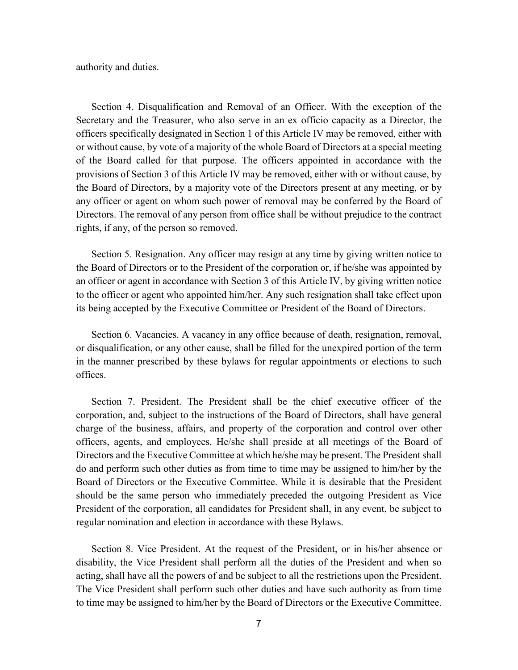authority and duties.

Section 4. Disqualification and Removal of an Officer. With the exception of the Secretary and the Treasurer, who also serve in an ex officio capacity as a Director, the officers specifically designated in Section 1 of this Article IV may be removed, either with or without cause, by vote of a majority of the whole Board of Directors at a special meeting of the Board called for that purpose. The officers appointed in accordance with the provisions of Section 3 of this Article IV may be removed, either with or without cause, by the Board of Directors, by a majority vote of the Directors present at any meeting, or by any officer or agent on whom such power of removal may be conferred by the Board of Directors. The removal of any person from office shall be without prejudice to the contract rights, if any, of the person so removed.

Section 5. Resignation. Any officer may resign at any time by giving written notice to the Board of Directors or to the President of the corporation or, if he/she was appointed by an officer or agent in accordance with Section 3 of this Article IV, by giving written notice to the officer or agent who appointed him/her. Any such resignation shall take effect upon its being accepted by the Executive Committee or President of the Board of Directors.

Section 6. Vacancies. A vacancy in any office because of death, resignation, removal, or disqualification, or any other cause, shall be filled for the unexpired portion of the term in the manner prescribed by these bylaws for regular appointments or elections to such offices.

Section 7. President. The President shall be the chief executive officer of the corporation, and, subject to the instructions of the Board of Directors, shall have general charge of the business, affairs, and property of the corporation and control over other officers, agents, and employees. He/she shall preside at all meetings of the Board of Directors and the Executive Committee at which he/she may be present. The President shall do and perform such other duties as from time to time may be assigned to him/her by the Board of Directors or the Executive Committee. While it is desirable that the President should be the same person who immediately preceded the outgoing President as Vice President of the corporation, all candidates for President shall, in any event, be subject to regular nomination and election in accordance with these Bylaws.

Section 8. Vice President. At the request of the President, or in his/her absence or disability, the Vice President shall perform all the duties of the President and when so acting, shall have all the powers of and be subject to all the restrictions upon the President. The Vice President shall perform such other duties and have such authority as from time to time may be assigned to him/her by the Board of Directors or the Executive Committee.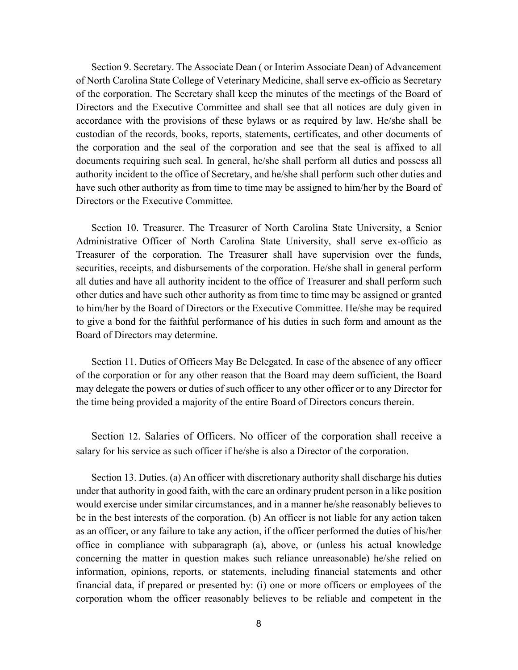Section 9. Secretary. The Associate Dean ( or Interim Associate Dean) of Advancement of North Carolina State College of Veterinary Medicine, shall serve ex-officio as Secretary of the corporation. The Secretary shall keep the minutes of the meetings of the Board of Directors and the Executive Committee and shall see that all notices are duly given in accordance with the provisions of these bylaws or as required by law. He/she shall be custodian of the records, books, reports, statements, certificates, and other documents of the corporation and the seal of the corporation and see that the seal is affixed to all documents requiring such seal. In general, he/she shall perform all duties and possess all authority incident to the office of Secretary, and he/she shall perform such other duties and have such other authority as from time to time may be assigned to him/her by the Board of Directors or the Executive Committee.

Section 10. Treasurer. The Treasurer of North Carolina State University, a Senior Administrative Officer of North Carolina State University, shall serve ex-officio as Treasurer of the corporation. The Treasurer shall have supervision over the funds, securities, receipts, and disbursements of the corporation. He/she shall in general perform all duties and have all authority incident to the office of Treasurer and shall perform such other duties and have such other authority as from time to time may be assigned or granted to him/her by the Board of Directors or the Executive Committee. He/she may be required to give a bond for the faithful performance of his duties in such form and amount as the Board of Directors may determine.

Section 11. Duties of Officers May Be Delegated. In case of the absence of any officer of the corporation or for any other reason that the Board may deem sufficient, the Board may delegate the powers or duties of such officer to any other officer or to any Director for the time being provided a majority of the entire Board of Directors concurs therein.

Section 12. Salaries of Officers. No officer of the corporation shall receive a salary for his service as such officer if he/she is also a Director of the corporation.

Section 13. Duties. (a) An officer with discretionary authority shall discharge his duties under that authority in good faith, with the care an ordinary prudent person in a like position would exercise under similar circumstances, and in a manner he/she reasonably believes to be in the best interests of the corporation. (b) An officer is not liable for any action taken as an officer, or any failure to take any action, if the officer performed the duties of his/her office in compliance with subparagraph (a), above, or (unless his actual knowledge concerning the matter in question makes such reliance unreasonable) he/she relied on information, opinions, reports, or statements, including financial statements and other financial data, if prepared or presented by: (i) one or more officers or employees of the corporation whom the officer reasonably believes to be reliable and competent in the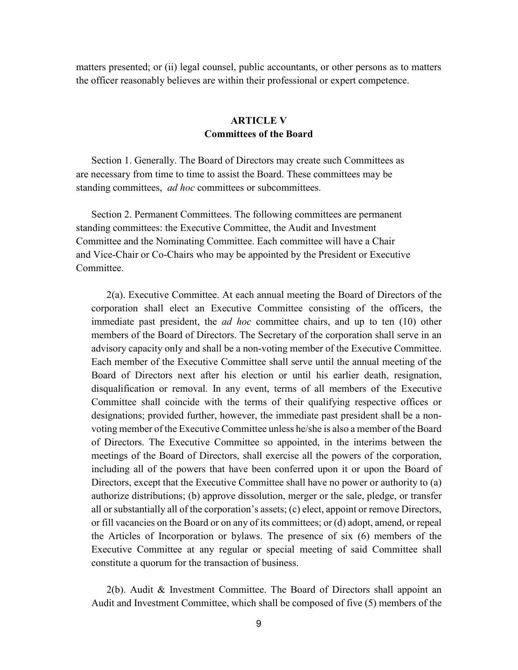matters presented; or (ii) legal counsel, public accountants, or other persons as to matters the officer reasonably believes are within their professional or expert competence.

# **ARTICLE V Committees of the Board**

Section 1. Generally. The Board of Directors may create such Committees as are necessary from time to time to assist the Board. These committees may be standing committees, *ad hoc* committees or subcommittees.

Section 2. Permanent Committees. The following committees are permanent standing committees: the Executive Committee, the Audit and Investment Committee and the Nominating Committee. Each committee will have a Chair and Vice-Chair or Co-Chairs who may be appointed by the President or Executive Committee.

2(a). Executive Committee. At each annual meeting the Board of Directors of the corporation shall elect an Executive Committee consisting of the officers, the immediate past president, the *ad hoc* committee chairs, and up to ten (10) other members of the Board of Directors. The Secretary of the corporation shall serve in an advisory capacity only and shall be a non-voting member of the Executive Committee. Each member of the Executive Committee shall serve until the annual meeting of the Board of Directors next after his election or until his earlier death, resignation, disqualification or removal. In any event, terms of all members of the Executive Committee shall coincide with the terms of their qualifying respective offices or designations; provided further, however, the immediate past president shall be a nonvoting member of the Executive Committee unless he/she is also a member of the Board of Directors. The Executive Committee so appointed, in the interims between the meetings of the Board of Directors, shall exercise all the powers of the corporation, including all of the powers that have been conferred upon it or upon the Board of Directors, except that the Executive Committee shall have no power or authority to (a) authorize distributions; (b) approve dissolution, merger or the sale, pledge, or transfer all or substantially all of the corporation's assets; (c) elect, appoint or remove Directors, or fill vacancies on the Board or on any of its committees; or (d) adopt, amend, or repeal the Articles of Incorporation or bylaws. The presence of six (6) members of the Executive Committee at any regular or special meeting of said Committee shall constitute a quorum for the transaction of business.

2(b). Audit & Investment Committee. The Board of Directors shall appoint an Audit and Investment Committee, which shall be composed of five (5) members of the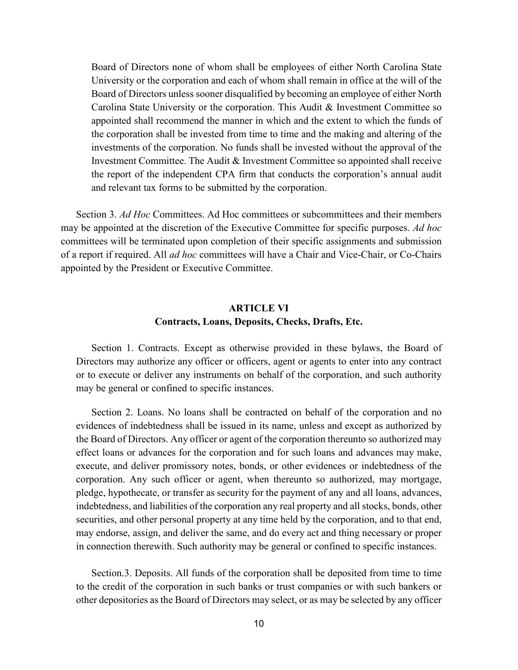Board of Directors none of whom shall be employees of either North Carolina State University or the corporation and each of whom shall remain in office at the will of the Board of Directors unless sooner disqualified by becoming an employee of either North Carolina State University or the corporation. This Audit & Investment Committee so appointed shall recommend the manner in which and the extent to which the funds of the corporation shall be invested from time to time and the making and altering of the investments of the corporation. No funds shall be invested without the approval of the Investment Committee. The Audit & Investment Committee so appointed shall receive the report of the independent CPA firm that conducts the corporation's annual audit and relevant tax forms to be submitted by the corporation.

Section 3. *Ad Hoc* Committees. Ad Hoc committees or subcommittees and their members may be appointed at the discretion of the Executive Committee for specific purposes. *Ad hoc* committees will be terminated upon completion of their specific assignments and submission of a report if required. All *ad hoc* committees will have a Chair and Vice-Chair, or Co-Chairs appointed by the President or Executive Committee.

## **ARTICLE VI Contracts, Loans, Deposits, Checks, Drafts, Etc.**

Section 1. Contracts. Except as otherwise provided in these bylaws, the Board of Directors may authorize any officer or officers, agent or agents to enter into any contract or to execute or deliver any instruments on behalf of the corporation, and such authority may be general or confined to specific instances.

Section 2. Loans. No loans shall be contracted on behalf of the corporation and no evidences of indebtedness shall be issued in its name, unless and except as authorized by the Board of Directors. Any officer or agent of the corporation thereunto so authorized may effect loans or advances for the corporation and for such loans and advances may make, execute, and deliver promissory notes, bonds, or other evidences or indebtedness of the corporation. Any such officer or agent, when thereunto so authorized, may mortgage, pledge, hypothecate, or transfer as security for the payment of any and all loans, advances, indebtedness, and liabilities of the corporation any real property and all stocks, bonds, other securities, and other personal property at any time held by the corporation, and to that end, may endorse, assign, and deliver the same, and do every act and thing necessary or proper in connection therewith. Such authority may be general or confined to specific instances.

Section.3. Deposits. All funds of the corporation shall be deposited from time to time to the credit of the corporation in such banks or trust companies or with such bankers or other depositories as the Board of Directors may select, or as may be selected by any officer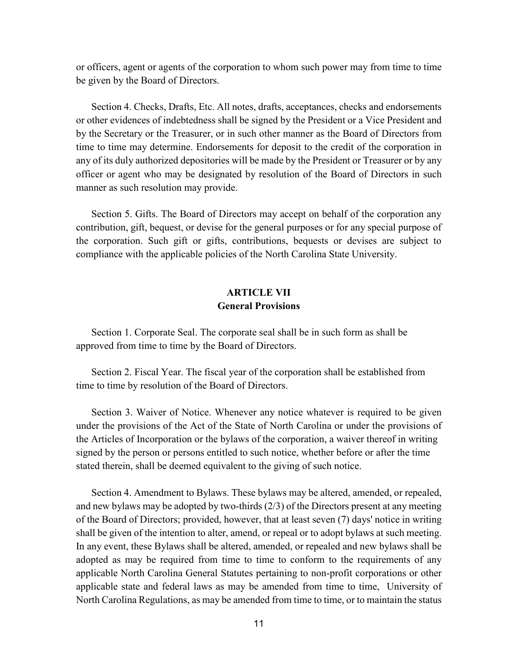or officers, agent or agents of the corporation to whom such power may from time to time be given by the Board of Directors.

Section 4. Checks, Drafts, Etc. All notes, drafts, acceptances, checks and endorsements or other evidences of indebtedness shall be signed by the President or a Vice President and by the Secretary or the Treasurer, or in such other manner as the Board of Directors from time to time may determine. Endorsements for deposit to the credit of the corporation in any of its duly authorized depositories will be made by the President or Treasurer or by any officer or agent who may be designated by resolution of the Board of Directors in such manner as such resolution may provide.

Section 5. Gifts. The Board of Directors may accept on behalf of the corporation any contribution, gift, bequest, or devise for the general purposes or for any special purpose of the corporation. Such gift or gifts, contributions, bequests or devises are subject to compliance with the applicable policies of the North Carolina State University.

# **ARTICLE VII General Provisions**

Section 1. Corporate Seal. The corporate seal shall be in such form as shall be approved from time to time by the Board of Directors.

Section 2. Fiscal Year. The fiscal year of the corporation shall be established from time to time by resolution of the Board of Directors.

Section 3. Waiver of Notice. Whenever any notice whatever is required to be given under the provisions of the Act of the State of North Carolina or under the provisions of the Articles of Incorporation or the bylaws of the corporation, a waiver thereof in writing signed by the person or persons entitled to such notice, whether before or after the time stated therein, shall be deemed equivalent to the giving of such notice.

Section 4. Amendment to Bylaws. These bylaws may be altered, amended, or repealed, and new bylaws may be adopted by two-thirds (2/3) of the Directors present at any meeting of the Board of Directors; provided, however, that at least seven (7) days' notice in writing shall be given of the intention to alter, amend, or repeal or to adopt bylaws at such meeting. In any event, these Bylaws shall be altered, amended, or repealed and new bylaws shall be adopted as may be required from time to time to conform to the requirements of any applicable North Carolina General Statutes pertaining to non-profit corporations or other applicable state and federal laws as may be amended from time to time, University of North Carolina Regulations, as may be amended from time to time, or to maintain the status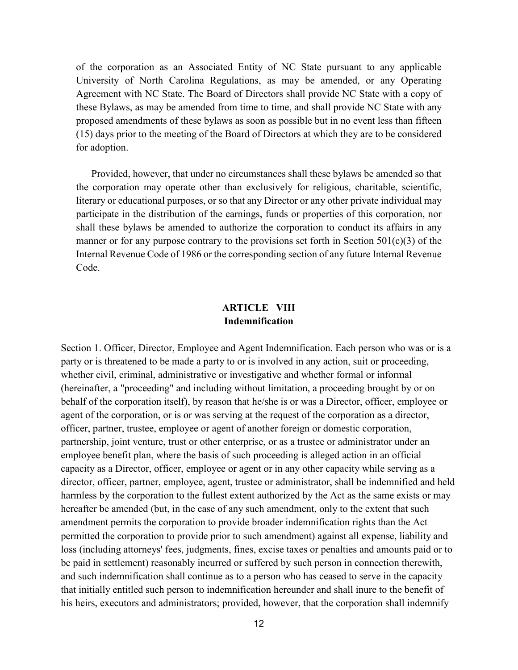of the corporation as an Associated Entity of NC State pursuant to any applicable University of North Carolina Regulations, as may be amended, or any Operating Agreement with NC State. The Board of Directors shall provide NC State with a copy of these Bylaws, as may be amended from time to time, and shall provide NC State with any proposed amendments of these bylaws as soon as possible but in no event less than fifteen (15) days prior to the meeting of the Board of Directors at which they are to be considered for adoption.

Provided, however, that under no circumstances shall these bylaws be amended so that the corporation may operate other than exclusively for religious, charitable, scientific, literary or educational purposes, or so that any Director or any other private individual may participate in the distribution of the earnings, funds or properties of this corporation, nor shall these bylaws be amended to authorize the corporation to conduct its affairs in any manner or for any purpose contrary to the provisions set forth in Section  $501(c)(3)$  of the Internal Revenue Code of 1986 or the corresponding section of any future Internal Revenue Code.

# **ARTICLE VIII Indemnification**

Section 1. Officer, Director, Employee and Agent Indemnification. Each person who was or is a party or is threatened to be made a party to or is involved in any action, suit or proceeding, whether civil, criminal, administrative or investigative and whether formal or informal (hereinafter, a "proceeding" and including without limitation, a proceeding brought by or on behalf of the corporation itself), by reason that he/she is or was a Director, officer, employee or agent of the corporation, or is or was serving at the request of the corporation as a director, officer, partner, trustee, employee or agent of another foreign or domestic corporation, partnership, joint venture, trust or other enterprise, or as a trustee or administrator under an employee benefit plan, where the basis of such proceeding is alleged action in an official capacity as a Director, officer, employee or agent or in any other capacity while serving as a director, officer, partner, employee, agent, trustee or administrator, shall be indemnified and held harmless by the corporation to the fullest extent authorized by the Act as the same exists or may hereafter be amended (but, in the case of any such amendment, only to the extent that such amendment permits the corporation to provide broader indemnification rights than the Act permitted the corporation to provide prior to such amendment) against all expense, liability and loss (including attorneys' fees, judgments, fines, excise taxes or penalties and amounts paid or to be paid in settlement) reasonably incurred or suffered by such person in connection therewith, and such indemnification shall continue as to a person who has ceased to serve in the capacity that initially entitled such person to indemnification hereunder and shall inure to the benefit of his heirs, executors and administrators; provided, however, that the corporation shall indemnify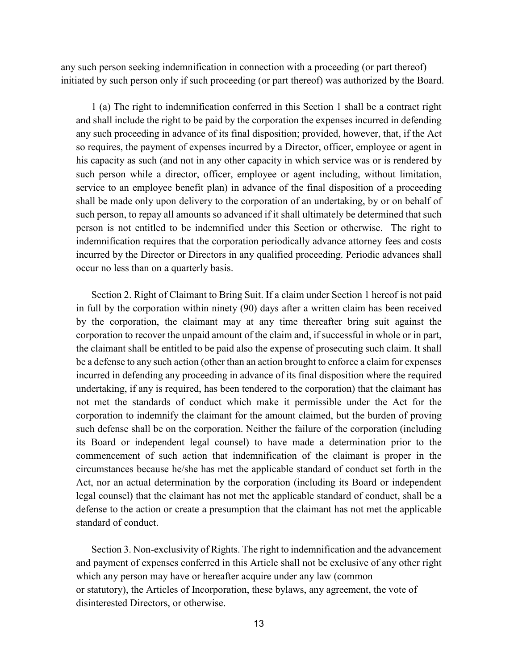any such person seeking indemnification in connection with a proceeding (or part thereof) initiated by such person only if such proceeding (or part thereof) was authorized by the Board.

1 (a) The right to indemnification conferred in this Section 1 shall be a contract right and shall include the right to be paid by the corporation the expenses incurred in defending any such proceeding in advance of its final disposition; provided, however, that, if the Act so requires, the payment of expenses incurred by a Director, officer, employee or agent in his capacity as such (and not in any other capacity in which service was or is rendered by such person while a director, officer, employee or agent including, without limitation, service to an employee benefit plan) in advance of the final disposition of a proceeding shall be made only upon delivery to the corporation of an undertaking, by or on behalf of such person, to repay all amounts so advanced if it shall ultimately be determined that such person is not entitled to be indemnified under this Section or otherwise. The right to indemnification requires that the corporation periodically advance attorney fees and costs incurred by the Director or Directors in any qualified proceeding. Periodic advances shall occur no less than on a quarterly basis.

Section 2. Right of Claimant to Bring Suit. If a claim under Section 1 hereof is not paid in full by the corporation within ninety (90) days after a written claim has been received by the corporation, the claimant may at any time thereafter bring suit against the corporation to recover the unpaid amount of the claim and, if successful in whole or in part, the claimant shall be entitled to be paid also the expense of prosecuting such claim. It shall be a defense to any such action (other than an action brought to enforce a claim for expenses incurred in defending any proceeding in advance of its final disposition where the required undertaking, if any is required, has been tendered to the corporation) that the claimant has not met the standards of conduct which make it permissible under the Act for the corporation to indemnify the claimant for the amount claimed, but the burden of proving such defense shall be on the corporation. Neither the failure of the corporation (including its Board or independent legal counsel) to have made a determination prior to the commencement of such action that indemnification of the claimant is proper in the circumstances because he/she has met the applicable standard of conduct set forth in the Act, nor an actual determination by the corporation (including its Board or independent legal counsel) that the claimant has not met the applicable standard of conduct, shall be a defense to the action or create a presumption that the claimant has not met the applicable standard of conduct.

Section 3. Non-exclusivity of Rights. The right to indemnification and the advancement and payment of expenses conferred in this Article shall not be exclusive of any other right which any person may have or hereafter acquire under any law (common or statutory), the Articles of Incorporation, these bylaws, any agreement, the vote of disinterested Directors, or otherwise.